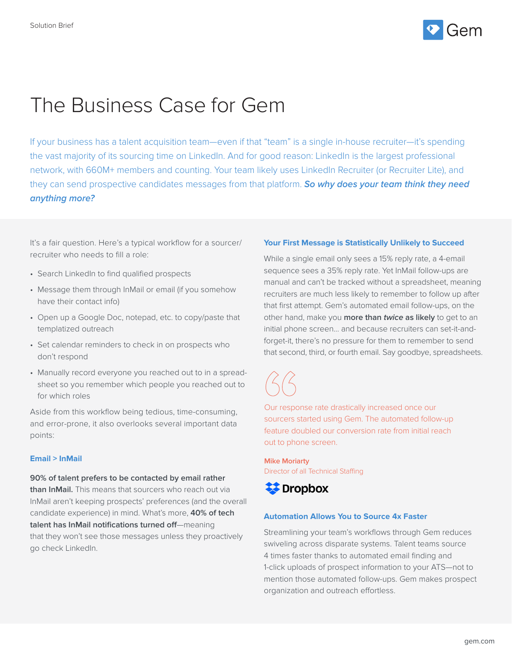

# The Business Case for Gem

If your business has a talent acquisition team—even if that "team" is a single in-house recruiter—it's spending the vast majority of its sourcing time on LinkedIn. And for good reason: LinkedIn is the largest professional network, with 660M+ members and counting. Your team likely uses LinkedIn Recruiter (or Recruiter Lite), and they can send prospective candidates messages from that platform. **So why does your team think they need anything more?** 

It's a fair question. Here's a typical workflow for a sourcer/ recruiter who needs to fill a role:

- Search LinkedIn to find qualified prospects
- Message them through InMail or email (if you somehow have their contact info)
- Open up a Google Doc, notepad, etc. to copy/paste that templatized outreach
- Set calendar reminders to check in on prospects who don't respond
- Manually record everyone you reached out to in a spreadsheet so you remember which people you reached out to for which roles

Aside from this workflow being tedious, time-consuming, and error-prone, it also overlooks several important data points:

#### **Email > InMail**

**90% of talent prefers to be contacted by email rather than InMail.** This means that sourcers who reach out via InMail aren't keeping prospects' preferences (and the overall candidate experience) in mind. What's more, **40% of tech talent has InMail notifications turned off**—meaning that they won't see those messages unless they proactively go check LinkedIn.

### **Your First Message is Statistically Unlikely to Succeed**

While a single email only sees a 15% reply rate, a 4-email sequence sees a 35% reply rate. Yet InMail follow-ups are manual and can't be tracked without a spreadsheet, meaning recruiters are much less likely to remember to follow up after that first attempt. Gem's automated email follow-ups, on the other hand, make you **more than twice as likely** to get to an initial phone screen… and because recruiters can set-it-andforget-it, there's no pressure for them to remember to send that second, third, or fourth email. Say goodbye, spreadsheets.

Our response rate drastically increased once our sourcers started using Gem. The automated follow-up feature doubled our conversion rate from initial reach out to phone screen.

**Mike Moriarty**  Director of all Technical Staffing



## **Automation Allows You to Source 4x Faster**

Streamlining your team's workflows through Gem reduces swiveling across disparate systems. Talent teams source 4 times faster thanks to automated email finding and 1-click uploads of prospect information to your ATS—not to mention those automated follow-ups. Gem makes prospect organization and outreach effortless.